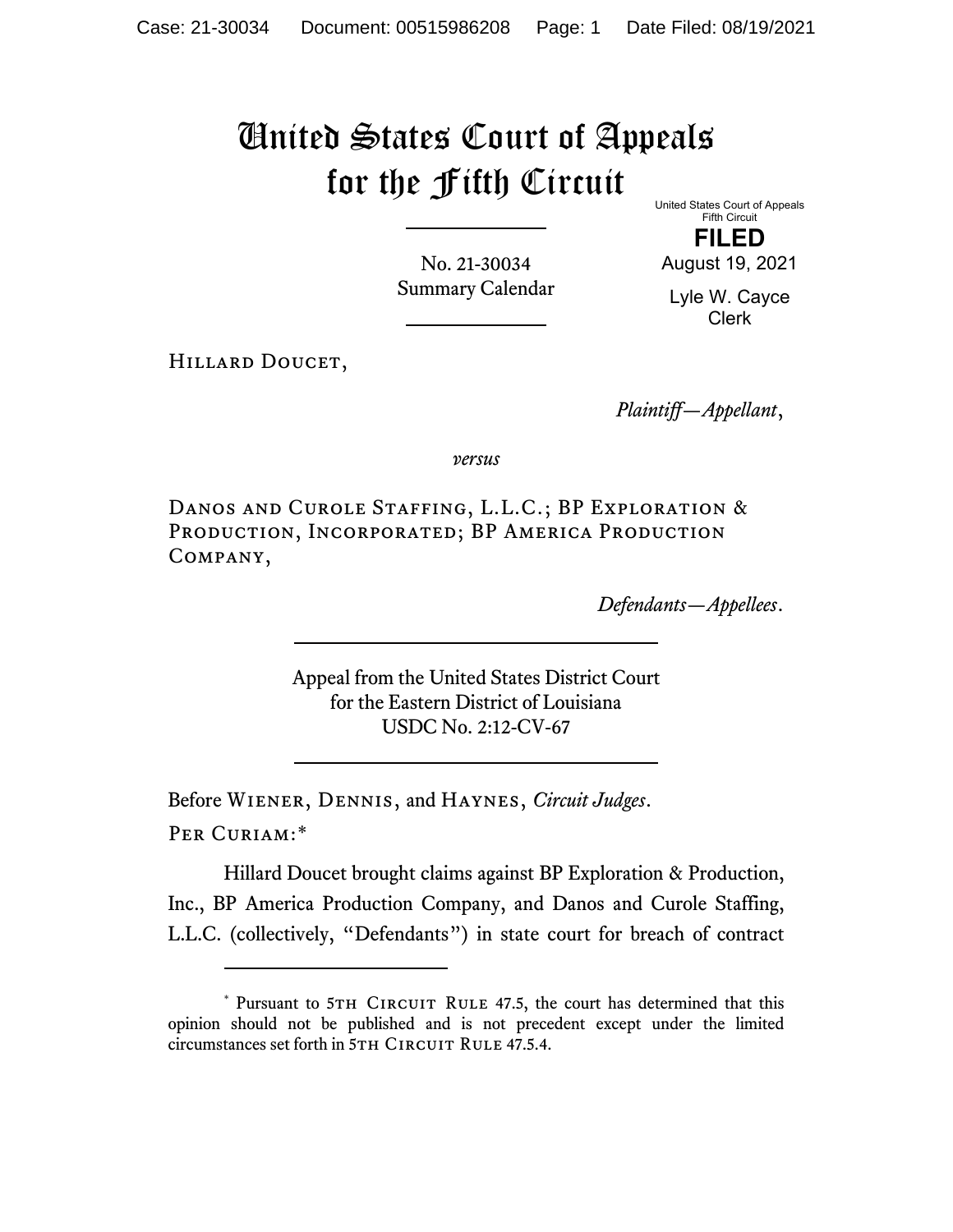## United States Court of Appeals for the Fifth Circuit

United States Court of Appeals Fifth Circuit

No. 21-30034 Summary Calendar

**FILED** August 19, 2021

Lyle W. Cayce Clerk

HILLARD DOUCET,

*Plaintiff—Appellant*,

*versus*

Danos and Curole Staffing, L.L.C.; BP Exploration & PRODUCTION, INCORPORATED; BP AMERICA PRODUCTION Company,

*Defendants—Appellees*.

Appeal from the United States District Court for the Eastern District of Louisiana USDC No. 2:12-CV-67

Before Wiener, Dennis, and Haynes, *Circuit Judges*. Per Curiam:[\\*](#page-0-0)

Hillard Doucet brought claims against BP Exploration & Production, Inc., BP America Production Company, and Danos and Curole Staffing, L.L.C. (collectively, "Defendants") in state court for breach of contract

<span id="page-0-0"></span><sup>\*</sup> Pursuant to 5TH CIRCUIT RULE 47.5, the court has determined that this opinion should not be published and is not precedent except under the limited circumstances set forth in 5TH CIRCUIT RULE 47.5.4.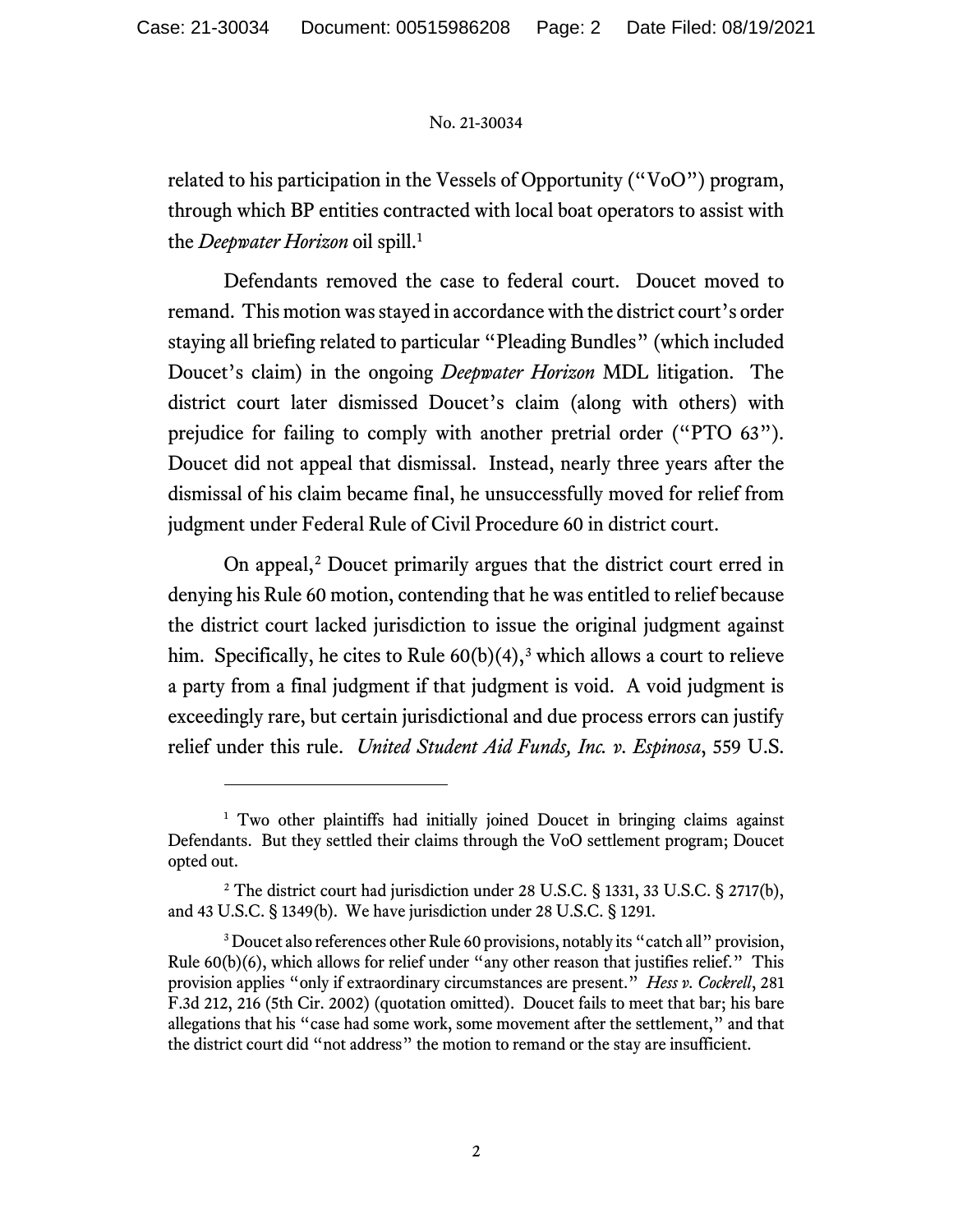## No. 21-30034

related to his participation in the Vessels of Opportunity ("VoO") program, through which BP entities contracted with local boat operators to assist with the *Deepwater Horizon* oil spill.[1](#page-1-0)

Defendants removed the case to federal court. Doucet moved to remand. This motion was stayed in accordance with the district court's order staying all briefing related to particular "Pleading Bundles" (which included Doucet's claim) in the ongoing *Deepwater Horizon* MDL litigation. The district court later dismissed Doucet's claim (along with others) with prejudice for failing to comply with another pretrial order ("PTO 63"). Doucet did not appeal that dismissal. Instead, nearly three years after the dismissal of his claim became final, he unsuccessfully moved for relief from judgment under Federal Rule of Civil Procedure 60 in district court.

On appeal,<sup>[2](#page-1-1)</sup> Doucet primarily argues that the district court erred in denying his Rule 60 motion, contending that he was entitled to relief because the district court lacked jurisdiction to issue the original judgment against him. Specifically, he cites to Rule  $60(b)(4)$ ,<sup>[3](#page-1-2)</sup> which allows a court to relieve a party from a final judgment if that judgment is void. A void judgment is exceedingly rare, but certain jurisdictional and due process errors can justify relief under this rule. *United Student Aid Funds, Inc. v. Espinosa*, 559 U.S.

<span id="page-1-0"></span><sup>&</sup>lt;sup>1</sup> Two other plaintiffs had initially joined Doucet in bringing claims against Defendants. But they settled their claims through the VoO settlement program; Doucet opted out.

<span id="page-1-1"></span><sup>&</sup>lt;sup>2</sup> The district court had jurisdiction under 28 U.S.C. § 1331, 33 U.S.C. § 2717(b), and 43 U.S.C. § 1349(b). We have jurisdiction under 28 U.S.C. § 1291.

<span id="page-1-2"></span><sup>&</sup>lt;sup>3</sup> Doucet also references other Rule 60 provisions, notably its "catch all" provision, Rule 60(b)(6), which allows for relief under "any other reason that justifies relief." This provision applies "only if extraordinary circumstances are present." *Hess v. Cockrell*, 281 F.3d 212, 216 (5th Cir. 2002) (quotation omitted). Doucet fails to meet that bar; his bare allegations that his "case had some work, some movement after the settlement," and that the district court did "not address" the motion to remand or the stay are insufficient.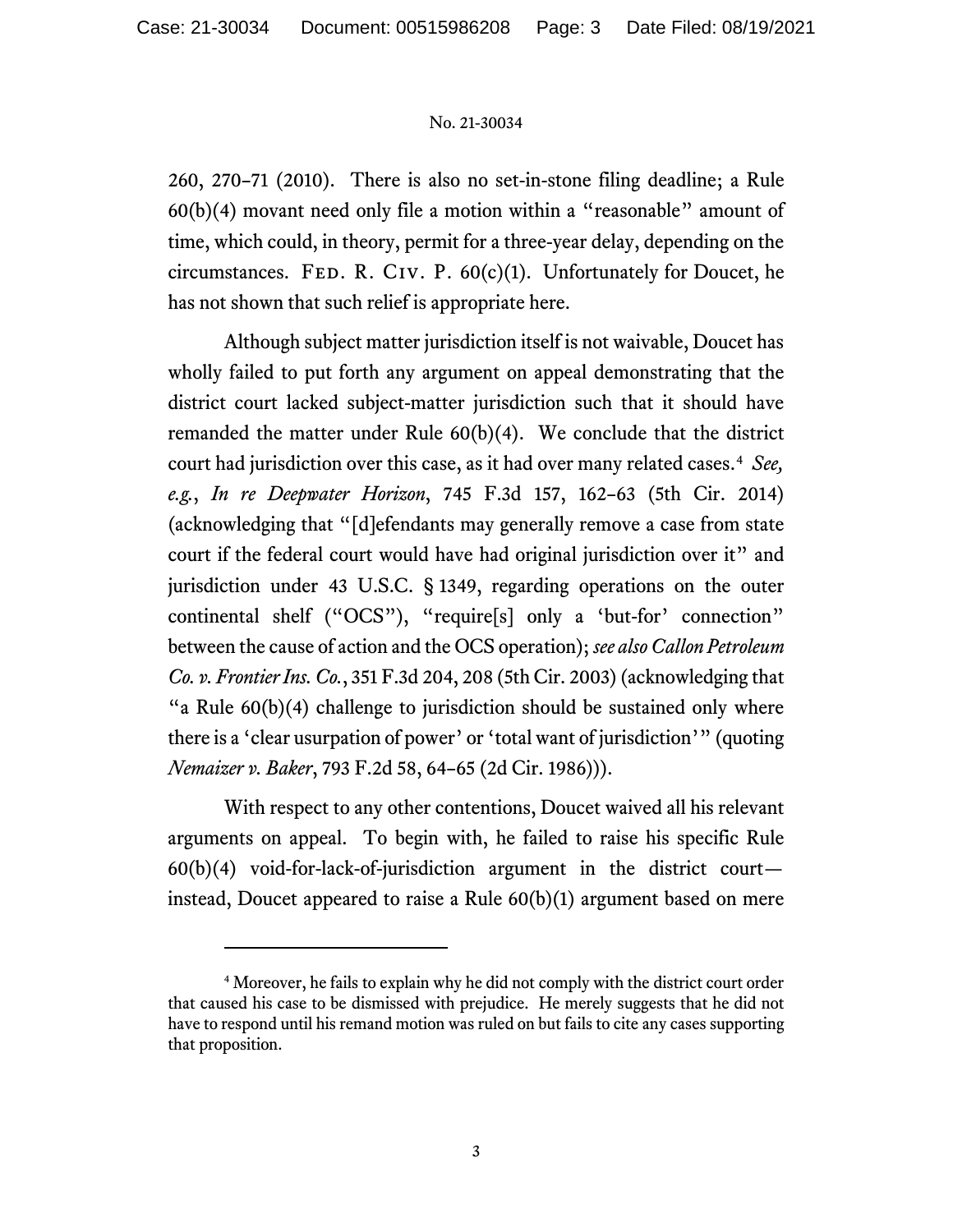## No. 21-30034

260, 270–71 (2010). There is also no set-in-stone filing deadline; a Rule  $60(b)(4)$  movant need only file a motion within a "reasonable" amount of time, which could, in theory, permit for a three-year delay, depending on the circumstances. FED. R. CIV. P.  $60(c)(1)$ . Unfortunately for Doucet, he has not shown that such relief is appropriate here.

Although subject matter jurisdiction itself is not waivable, Doucet has wholly failed to put forth any argument on appeal demonstrating that the district court lacked subject-matter jurisdiction such that it should have remanded the matter under Rule 60(b)(4). We conclude that the district court had jurisdiction over this case, as it had over many related cases. [4](#page-2-0) *See, e.g.*, *In re Deepwater Horizon*, 745 F.3d 157, 162–63 (5th Cir. 2014) (acknowledging that "[d]efendants may generally remove a case from state court if the federal court would have had original jurisdiction over it" and jurisdiction under 43 U.S.C. § 1349, regarding operations on the outer continental shelf ("OCS"), "require[s] only a 'but-for' connection" between the cause of action and the OCS operation); *see also Callon Petroleum Co. v. Frontier Ins. Co.*, 351 F.3d 204, 208 (5th Cir. 2003) (acknowledging that "a Rule  $60(b)(4)$  challenge to jurisdiction should be sustained only where there is a 'clear usurpation of power' or 'total want of jurisdiction'" (quoting *Nemaizer v. Baker*, 793 F.2d 58, 64–65 (2d Cir. 1986))).

With respect to any other contentions, Doucet waived all his relevant arguments on appeal. To begin with, he failed to raise his specific Rule  $60(b)(4)$  void-for-lack-of-jurisdiction argument in the district courtinstead, Doucet appeared to raise a Rule 60(b)(1) argument based on mere

<span id="page-2-0"></span><sup>4</sup> Moreover, he fails to explain why he did not comply with the district court order that caused his case to be dismissed with prejudice. He merely suggests that he did not have to respond until his remand motion was ruled on but fails to cite any cases supporting that proposition.